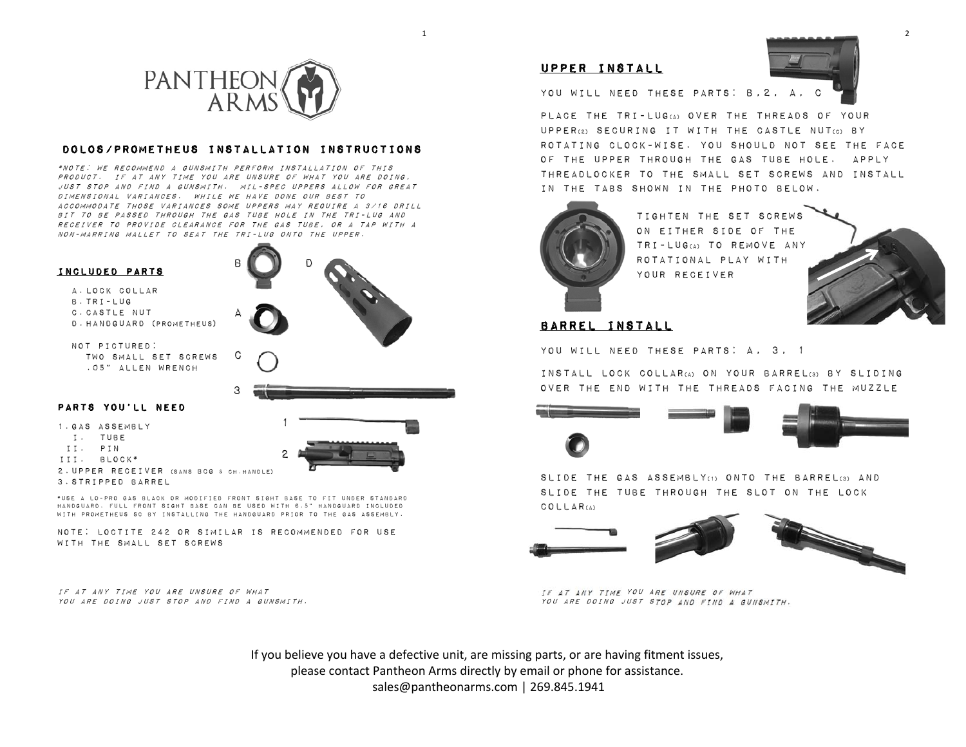

### Dolos/Prometheus Installation Instructions

\*Note: we recommend a gunsmith perform installation of this product. If at any time you are unsure of what you are doing, just stop and find a gunsmith. Mil-spec uppers allow for great dimensional variances. While we have done our best to accommodate those variances some uppers may require a 3/16 drill bit to be passed through the gas tube hole in the tri-lug and receiver to provide clearance for the gas tube, or a tap with a non-marring mallet to seat the tri-lug onto the upper.

c

3

#### Included parts

A.lock collar B.Tri-lug C.Castle nut D.Handguard (Prometheus)

Not pictured: Two small set screws .05" Allen wrench



1



#### 1.gas assembly

- i. Tube
- ii. Pin
- iii. Block\*
- 2.Upper receiver (sans BCG & ch.handle)ا 2

1

3.Stripped barrel\*use a lo-pro gas black or modified front sight base to fit under standard

 handguard. Full front sight base can be used with 6.5" handguard included with Prometheus SC by installing the handguard prior to the gas assembly.

Note: Loctite 242 or similar is recommended for use with the small set screws

If at any time you are unsure of what you are doing just stop and find a gunsmith.



## upper install

YOU WILL NEED THESE PARTS: B, 2, A,

Place the tri-lug(a) over the threads of your upper(2) securing it with the castle nut(c) by rotating clock-wise. You should not see the face of the upper through the gas tube hole. Apply threadlocker to the small set screws and install in the tabs shown in the photo below.



tighten the set screws on either side of the tri-lug(a) to remove any rotational play with your receiver



# Barrel install

You will need these parts: a, 3, 1

Install lock collar(a) on your barrel(3) by sliding over the end with the threads facing the muzzle



slide the gas assembly(1) onto the barrel(3) and slide the tube through the slot on the lock collar(A)



If at any time you are unsure of what you are doing just stop and find a gunsmith.

If you believe you have a defective unit, are missing parts, or are having fitment issues, please contact Pantheon Arms directly by email or phone for assistance.sales@pantheonarms.com | 269.845.1941